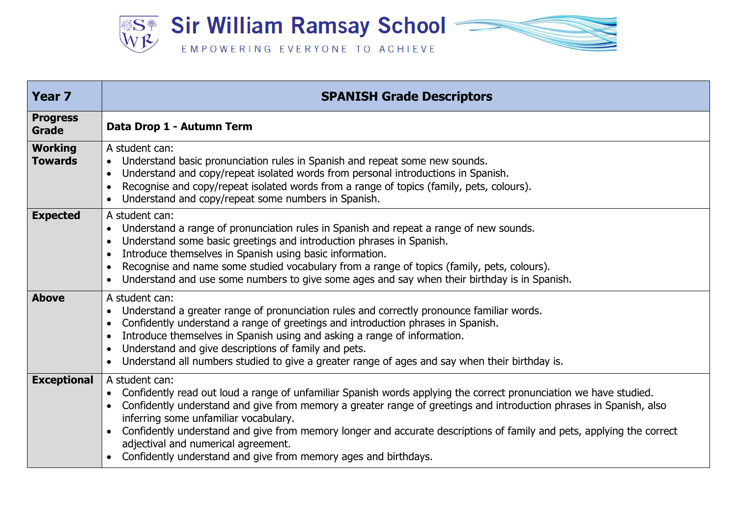

| <b>Year 7</b>                    | <b>SPANISH Grade Descriptors</b>                                                                                                                                                                                                                                                                                                                                                                                                                                                                                                      |
|----------------------------------|---------------------------------------------------------------------------------------------------------------------------------------------------------------------------------------------------------------------------------------------------------------------------------------------------------------------------------------------------------------------------------------------------------------------------------------------------------------------------------------------------------------------------------------|
| <b>Progress</b><br>Grade         | Data Drop 1 - Autumn Term                                                                                                                                                                                                                                                                                                                                                                                                                                                                                                             |
| <b>Working</b><br><b>Towards</b> | A student can:<br>Understand basic pronunciation rules in Spanish and repeat some new sounds.<br>Understand and copy/repeat isolated words from personal introductions in Spanish.<br>Recognise and copy/repeat isolated words from a range of topics (family, pets, colours).<br>Understand and copy/repeat some numbers in Spanish.                                                                                                                                                                                                 |
| <b>Expected</b>                  | A student can:<br>Understand a range of pronunciation rules in Spanish and repeat a range of new sounds.<br>Understand some basic greetings and introduction phrases in Spanish.<br>Introduce themselves in Spanish using basic information.<br>Recognise and name some studied vocabulary from a range of topics (family, pets, colours).<br>Understand and use some numbers to give some ages and say when their birthday is in Spanish.                                                                                            |
| <b>Above</b>                     | A student can:<br>Understand a greater range of pronunciation rules and correctly pronounce familiar words.<br>Confidently understand a range of greetings and introduction phrases in Spanish.<br>Introduce themselves in Spanish using and asking a range of information.<br>Understand and give descriptions of family and pets.<br>Understand all numbers studied to give a greater range of ages and say when their birthday is.                                                                                                 |
| <b>Exceptional</b>               | A student can:<br>Confidently read out loud a range of unfamiliar Spanish words applying the correct pronunciation we have studied.<br>Confidently understand and give from memory a greater range of greetings and introduction phrases in Spanish, also<br>inferring some unfamiliar vocabulary.<br>Confidently understand and give from memory longer and accurate descriptions of family and pets, applying the correct<br>adjectival and numerical agreement.<br>Confidently understand and give from memory ages and birthdays. |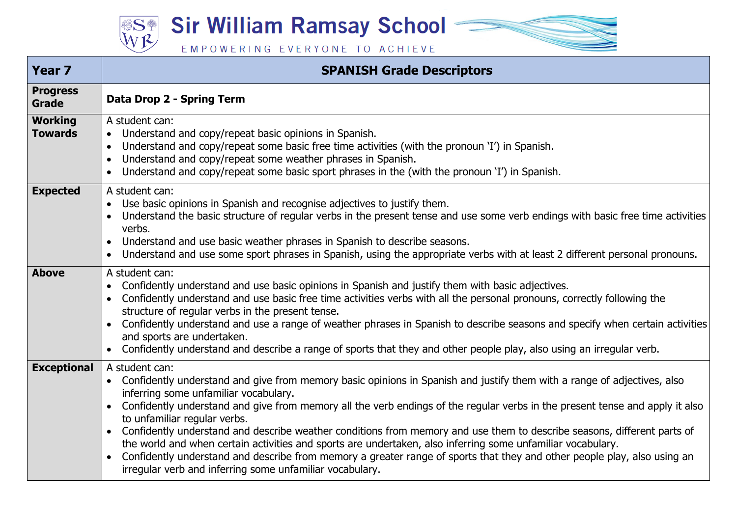**Sir William Ramsay School –** 

**SS®** 

EMPOWERING EVERYONE TO ACHIEVE

| <b>Year 7</b>                    | <b>SPANISH Grade Descriptors</b>                                                                                                                                                                                                                                                                                                                                                                                                                                                                                                                                                                                                                                                                                                                                                                                            |
|----------------------------------|-----------------------------------------------------------------------------------------------------------------------------------------------------------------------------------------------------------------------------------------------------------------------------------------------------------------------------------------------------------------------------------------------------------------------------------------------------------------------------------------------------------------------------------------------------------------------------------------------------------------------------------------------------------------------------------------------------------------------------------------------------------------------------------------------------------------------------|
| <b>Progress</b><br><b>Grade</b>  | Data Drop 2 - Spring Term                                                                                                                                                                                                                                                                                                                                                                                                                                                                                                                                                                                                                                                                                                                                                                                                   |
| <b>Working</b><br><b>Towards</b> | A student can:<br>Understand and copy/repeat basic opinions in Spanish.<br>$\bullet$<br>Understand and copy/repeat some basic free time activities (with the pronoun 'I') in Spanish.<br>$\bullet$<br>Understand and copy/repeat some weather phrases in Spanish.<br>Understand and copy/repeat some basic sport phrases in the (with the pronoun 'I') in Spanish.<br>$\bullet$                                                                                                                                                                                                                                                                                                                                                                                                                                             |
| <b>Expected</b>                  | A student can:<br>Use basic opinions in Spanish and recognise adjectives to justify them.<br>Understand the basic structure of regular verbs in the present tense and use some verb endings with basic free time activities<br>verbs.<br>Understand and use basic weather phrases in Spanish to describe seasons.<br>$\bullet$<br>Understand and use some sport phrases in Spanish, using the appropriate verbs with at least 2 different personal pronouns.<br>$\bullet$                                                                                                                                                                                                                                                                                                                                                   |
| <b>Above</b>                     | A student can:<br>Confidently understand and use basic opinions in Spanish and justify them with basic adjectives.<br>$\bullet$<br>Confidently understand and use basic free time activities verbs with all the personal pronouns, correctly following the<br>structure of regular verbs in the present tense.<br>Confidently understand and use a range of weather phrases in Spanish to describe seasons and specify when certain activities<br>$\bullet$<br>and sports are undertaken.<br>Confidently understand and describe a range of sports that they and other people play, also using an irregular verb.                                                                                                                                                                                                           |
| <b>Exceptional</b>               | A student can:<br>Confidently understand and give from memory basic opinions in Spanish and justify them with a range of adjectives, also<br>$\bullet$<br>inferring some unfamiliar vocabulary.<br>Confidently understand and give from memory all the verb endings of the regular verbs in the present tense and apply it also<br>$\bullet$<br>to unfamiliar regular verbs.<br>Confidently understand and describe weather conditions from memory and use them to describe seasons, different parts of<br>$\bullet$<br>the world and when certain activities and sports are undertaken, also inferring some unfamiliar vocabulary.<br>Confidently understand and describe from memory a greater range of sports that they and other people play, also using an<br>irregular verb and inferring some unfamiliar vocabulary. |